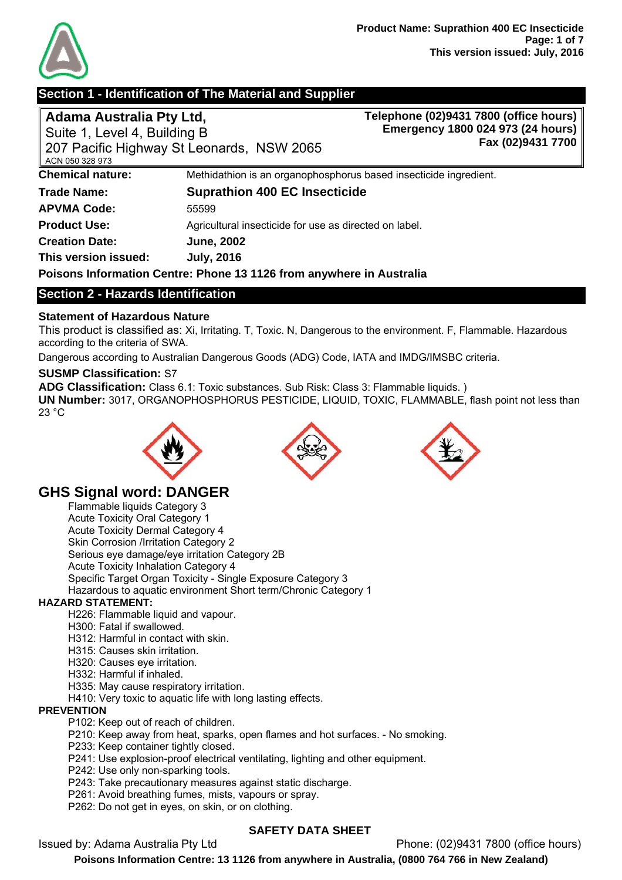

# **Section 1 - Identification of The Material and Supplier**

# **Adama Australia Pty Ltd,**

Suite 1, Level 4, Building B 207 Pacific Highway St Leonards, NSW 2065 ACN 050 328 973 **Telephone (02)9431 7800 (office hours) Emergency 1800 024 973 (24 hours) Fax (02)9431 7700 Chemical nature: Methidathion is an organophosphorus based insecticide ingredient. Trade Name: Suprathion 400 EC Insecticide APVMA Code:** 55599 **Product Use:** Agricultural insecticide for use as directed on label. **Creation Date: June, 2002 This version issued: July, 2016** 

**Poisons Information Centre: Phone 13 1126 from anywhere in Australia** 

# **Section 2 - Hazards Identification**

## **Statement of Hazardous Nature**

This product is classified as: Xi, Irritating. T, Toxic. N, Dangerous to the environment. F, Flammable. Hazardous according to the criteria of SWA.

Dangerous according to Australian Dangerous Goods (ADG) Code, IATA and IMDG/IMSBC criteria.

## **SUSMP Classification:** S7

**ADG Classification:** Class 6.1: Toxic substances. Sub Risk: Class 3: Flammable liquids. ) **UN Number:** 3017, ORGANOPHOSPHORUS PESTICIDE, LIQUID, TOXIC, FLAMMABLE, flash point not less than 23 °C







# **GHS Signal word: DANGER**

Flammable liquids Category 3 Acute Toxicity Oral Category 1 Acute Toxicity Dermal Category 4 Skin Corrosion /Irritation Category 2 Serious eye damage/eye irritation Category 2B Acute Toxicity Inhalation Category 4 Specific Target Organ Toxicity - Single Exposure Category 3 Hazardous to aquatic environment Short term/Chronic Category 1

## **HAZARD STATEMENT:**

- H226: Flammable liquid and vapour.
- H300: Fatal if swallowed.
- H312: Harmful in contact with skin.
- H315: Causes skin irritation.
- H320: Causes eye irritation.
- H332: Harmful if inhaled.
- H335: May cause respiratory irritation.
- H410: Very toxic to aquatic life with long lasting effects.

#### **PREVENTION**

- P102: Keep out of reach of children.
- P210: Keep away from heat, sparks, open flames and hot surfaces. No smoking.
- P233: Keep container tightly closed.
- P241: Use explosion-proof electrical ventilating, lighting and other equipment.
- P242: Use only non-sparking tools.
- P243: Take precautionary measures against static discharge.
- P261: Avoid breathing fumes, mists, vapours or spray.
- P262: Do not get in eyes, on skin, or on clothing.

## **SAFETY DATA SHEET**

Issued by: Adama Australia Pty Ltd Phone: (02)9431 7800 (office hours)

**Poisons Information Centre: 13 1126 from anywhere in Australia, (0800 764 766 in New Zealand)**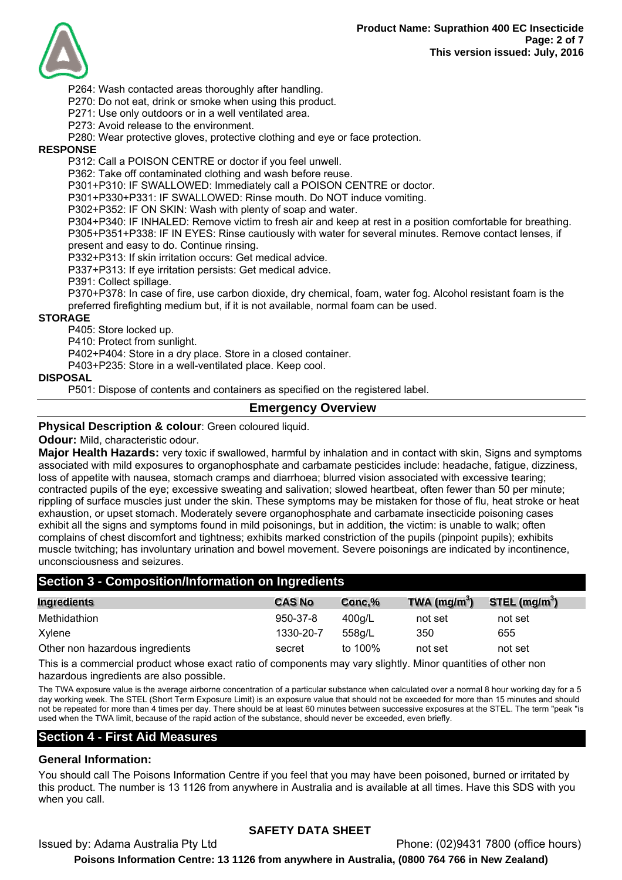

P264: Wash contacted areas thoroughly after handling.

P270: Do not eat, drink or smoke when using this product.

P271: Use only outdoors or in a well ventilated area.

P273: Avoid release to the environment.

P280: Wear protective gloves, protective clothing and eye or face protection.

#### **RESPONSE**

P312: Call a POISON CENTRE or doctor if you feel unwell.

P362: Take off contaminated clothing and wash before reuse.

P301+P310: IF SWALLOWED: Immediately call a POISON CENTRE or doctor.

P301+P330+P331: IF SWALLOWED: Rinse mouth. Do NOT induce vomiting.

P302+P352: IF ON SKIN: Wash with plenty of soap and water.

P304+P340: IF INHALED: Remove victim to fresh air and keep at rest in a position comfortable for breathing. P305+P351+P338: IF IN EYES: Rinse cautiously with water for several minutes. Remove contact lenses, if present and easy to do. Continue rinsing.

P332+P313: If skin irritation occurs: Get medical advice.

P337+P313: If eye irritation persists: Get medical advice.

P391: Collect spillage.

P370+P378: In case of fire, use carbon dioxide, dry chemical, foam, water fog. Alcohol resistant foam is the preferred firefighting medium but, if it is not available, normal foam can be used.

#### **STORAGE**

P405: Store locked up.

P410: Protect from sunlight.

P402+P404: Store in a dry place. Store in a closed container.

P403+P235: Store in a well-ventilated place. Keep cool.

#### **DISPOSAL**

P501: Dispose of contents and containers as specified on the registered label.

#### **Emergency Overview**

#### **Physical Description & colour**: Green coloured liquid.

**Odour:** Mild, characteristic odour.

**Major Health Hazards:** very toxic if swallowed, harmful by inhalation and in contact with skin, Signs and symptoms associated with mild exposures to organophosphate and carbamate pesticides include: headache, fatigue, dizziness, loss of appetite with nausea, stomach cramps and diarrhoea; blurred vision associated with excessive tearing; contracted pupils of the eye; excessive sweating and salivation; slowed heartbeat, often fewer than 50 per minute; rippling of surface muscles just under the skin. These symptoms may be mistaken for those of flu, heat stroke or heat exhaustion, or upset stomach. Moderately severe organophosphate and carbamate insecticide poisoning cases exhibit all the signs and symptoms found in mild poisonings, but in addition, the victim: is unable to walk; often complains of chest discomfort and tightness; exhibits marked constriction of the pupils (pinpoint pupils); exhibits muscle twitching; has involuntary urination and bowel movement. Severe poisonings are indicated by incontinence, unconsciousness and seizures.

## **Section 3 - Composition/Information on Ingredients**

| Ingredients                     | <b>CAS No</b>  | Conc,%  | TWA $(mg/m3)$ | STEL $(mg/m3)$ |
|---------------------------------|----------------|---------|---------------|----------------|
| Methidathion                    | $950 - 37 - 8$ | 400a/L  | not set       | not set        |
| Xylene                          | 1330-20-7      | 558a/L  | 350           | 655            |
| Other non hazardous ingredients | secret         | to 100% | not set       | not set        |

This is a commercial product whose exact ratio of components may vary slightly. Minor quantities of other non hazardous ingredients are also possible.

The TWA exposure value is the average airborne concentration of a particular substance when calculated over a normal 8 hour working day for a 5 day working week. The STEL (Short Term Exposure Limit) is an exposure value that should not be exceeded for more than 15 minutes and should not be repeated for more than 4 times per day. There should be at least 60 minutes between successive exposures at the STEL. The term "peak "is used when the TWA limit, because of the rapid action of the substance, should never be exceeded, even briefly.

## **Section 4 - First Aid Measures**

#### **General Information:**

You should call The Poisons Information Centre if you feel that you may have been poisoned, burned or irritated by this product. The number is 13 1126 from anywhere in Australia and is available at all times. Have this SDS with you when you call.

## **SAFETY DATA SHEET**

Issued by: Adama Australia Pty Ltd Phone: (02)9431 7800 (office hours) **Poisons Information Centre: 13 1126 from anywhere in Australia, (0800 764 766 in New Zealand)**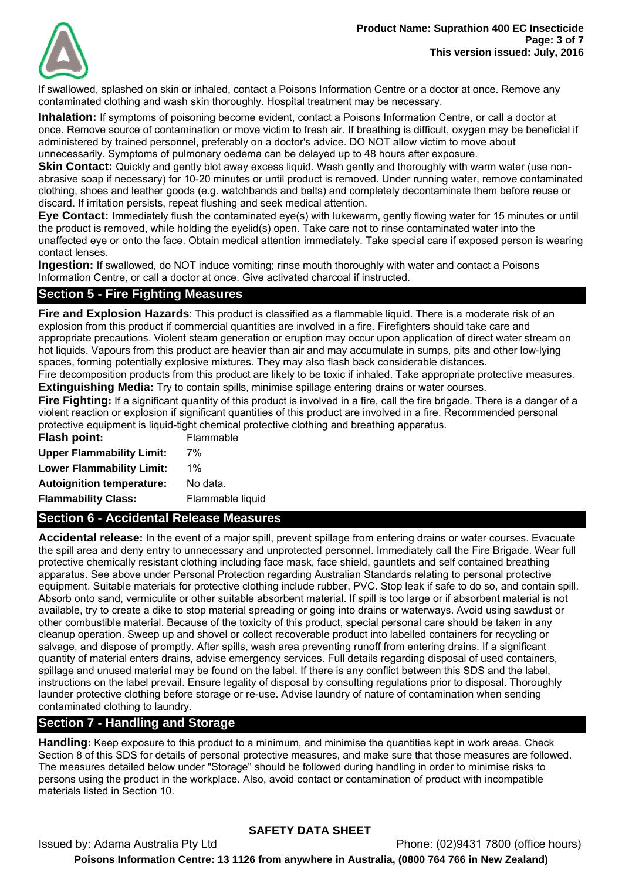

If swallowed, splashed on skin or inhaled, contact a Poisons Information Centre or a doctor at once. Remove any contaminated clothing and wash skin thoroughly. Hospital treatment may be necessary.

**Inhalation:** If symptoms of poisoning become evident, contact a Poisons Information Centre, or call a doctor at once. Remove source of contamination or move victim to fresh air. If breathing is difficult, oxygen may be beneficial if administered by trained personnel, preferably on a doctor's advice. DO NOT allow victim to move about unnecessarily. Symptoms of pulmonary oedema can be delayed up to 48 hours after exposure.

**Skin Contact:** Quickly and gently blot away excess liquid. Wash gently and thoroughly with warm water (use nonabrasive soap if necessary) for 10-20 minutes or until product is removed. Under running water, remove contaminated clothing, shoes and leather goods (e.g. watchbands and belts) and completely decontaminate them before reuse or discard. If irritation persists, repeat flushing and seek medical attention.

**Eye Contact:** Immediately flush the contaminated eye(s) with lukewarm, gently flowing water for 15 minutes or until the product is removed, while holding the eyelid(s) open. Take care not to rinse contaminated water into the unaffected eye or onto the face. Obtain medical attention immediately. Take special care if exposed person is wearing contact lenses.

**Ingestion:** If swallowed, do NOT induce vomiting; rinse mouth thoroughly with water and contact a Poisons Information Centre, or call a doctor at once. Give activated charcoal if instructed.

# **Section 5 - Fire Fighting Measures**

**Fire and Explosion Hazards**: This product is classified as a flammable liquid. There is a moderate risk of an explosion from this product if commercial quantities are involved in a fire. Firefighters should take care and appropriate precautions. Violent steam generation or eruption may occur upon application of direct water stream on hot liquids. Vapours from this product are heavier than air and may accumulate in sumps, pits and other low-lying spaces, forming potentially explosive mixtures. They may also flash back considerable distances.

Fire decomposition products from this product are likely to be toxic if inhaled. Take appropriate protective measures. **Extinguishing Media:** Try to contain spills, minimise spillage entering drains or water courses.

Fire Fighting: If a significant quantity of this product is involved in a fire, call the fire brigade. There is a danger of a violent reaction or explosion if significant quantities of this product are involved in a fire. Recommended personal protective equipment is liquid-tight chemical protective clothing and breathing apparatus.

| <b>Flash point:</b>              | Flammable        |
|----------------------------------|------------------|
| <b>Upper Flammability Limit:</b> | 7%               |
| <b>Lower Flammability Limit:</b> | $1\%$            |
| <b>Autoignition temperature:</b> | No data.         |
| <b>Flammability Class:</b>       | Flammable liquid |

# **Section 6 - Accidental Release Measures**

**Accidental release:** In the event of a major spill, prevent spillage from entering drains or water courses. Evacuate the spill area and deny entry to unnecessary and unprotected personnel. Immediately call the Fire Brigade. Wear full protective chemically resistant clothing including face mask, face shield, gauntlets and self contained breathing apparatus. See above under Personal Protection regarding Australian Standards relating to personal protective equipment. Suitable materials for protective clothing include rubber, PVC. Stop leak if safe to do so, and contain spill. Absorb onto sand, vermiculite or other suitable absorbent material. If spill is too large or if absorbent material is not available, try to create a dike to stop material spreading or going into drains or waterways. Avoid using sawdust or other combustible material. Because of the toxicity of this product, special personal care should be taken in any cleanup operation. Sweep up and shovel or collect recoverable product into labelled containers for recycling or salvage, and dispose of promptly. After spills, wash area preventing runoff from entering drains. If a significant quantity of material enters drains, advise emergency services. Full details regarding disposal of used containers, spillage and unused material may be found on the label. If there is any conflict between this SDS and the label, instructions on the label prevail. Ensure legality of disposal by consulting regulations prior to disposal. Thoroughly launder protective clothing before storage or re-use. Advise laundry of nature of contamination when sending contaminated clothing to laundry.

# **Section 7 - Handling and Storage**

**Handling:** Keep exposure to this product to a minimum, and minimise the quantities kept in work areas. Check Section 8 of this SDS for details of personal protective measures, and make sure that those measures are followed. The measures detailed below under "Storage" should be followed during handling in order to minimise risks to persons using the product in the workplace. Also, avoid contact or contamination of product with incompatible materials listed in Section 10.

# **SAFETY DATA SHEET**

Issued by: Adama Australia Pty Ltd Phone: (02)9431 7800 (office hours) **Poisons Information Centre: 13 1126 from anywhere in Australia, (0800 764 766 in New Zealand)**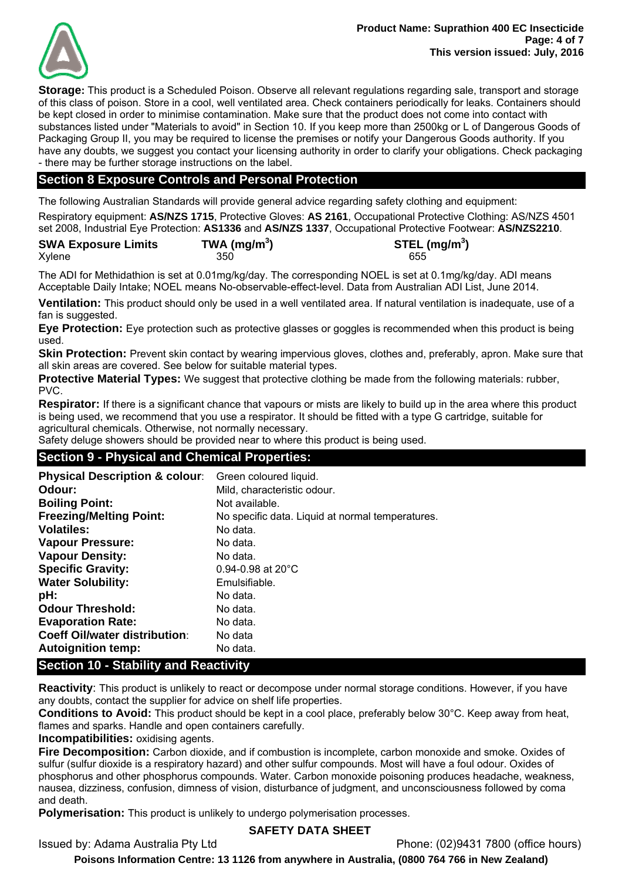

**Storage:** This product is a Scheduled Poison. Observe all relevant regulations regarding sale, transport and storage of this class of poison. Store in a cool, well ventilated area. Check containers periodically for leaks. Containers should be kept closed in order to minimise contamination. Make sure that the product does not come into contact with substances listed under "Materials to avoid" in Section 10. If you keep more than 2500kg or L of Dangerous Goods of Packaging Group II, you may be required to license the premises or notify your Dangerous Goods authority. If you have any doubts, we suggest you contact your licensing authority in order to clarify your obligations. Check packaging - there may be further storage instructions on the label.

# **Section 8 Exposure Controls and Personal Protection**

The following Australian Standards will provide general advice regarding safety clothing and equipment:

Respiratory equipment: **AS/NZS 1715**, Protective Gloves: **AS 2161**, Occupational Protective Clothing: AS/NZS 4501 set 2008, Industrial Eye Protection: **AS1336** and **AS/NZS 1337**, Occupational Protective Footwear: **AS/NZS2210**.

| <b>SWA Exposure Limits</b> | TWA (mg/m <sup>3</sup> ) | STEL (mg/m <sup>3</sup> ) |
|----------------------------|--------------------------|---------------------------|
| Xylene                     | 350                      | 655                       |

The ADI for Methidathion is set at 0.01mg/kg/day. The corresponding NOEL is set at 0.1mg/kg/day. ADI means Acceptable Daily Intake; NOEL means No-observable-effect-level. Data from Australian ADI List, June 2014.

**Ventilation:** This product should only be used in a well ventilated area. If natural ventilation is inadequate, use of a fan is suggested.

**Eye Protection:** Eye protection such as protective glasses or goggles is recommended when this product is being used.

**Skin Protection:** Prevent skin contact by wearing impervious gloves, clothes and, preferably, apron. Make sure that all skin areas are covered. See below for suitable material types.

**Protective Material Types:** We suggest that protective clothing be made from the following materials: rubber, PVC.

**Respirator:** If there is a significant chance that vapours or mists are likely to build up in the area where this product is being used, we recommend that you use a respirator. It should be fitted with a type G cartridge, suitable for agricultural chemicals. Otherwise, not normally necessary.

Safety deluge showers should be provided near to where this product is being used.

## **Section 9 - Physical and Chemical Properties:**

| <b>Physical Description &amp; colour:</b> | Green coloured liquid.                           |
|-------------------------------------------|--------------------------------------------------|
| Odour:                                    | Mild, characteristic odour.                      |
| <b>Boiling Point:</b>                     | Not available.                                   |
| <b>Freezing/Melting Point:</b>            | No specific data. Liquid at normal temperatures. |
| <b>Volatiles:</b>                         | No data.                                         |
| <b>Vapour Pressure:</b>                   | No data.                                         |
| <b>Vapour Density:</b>                    | No data.                                         |
| <b>Specific Gravity:</b>                  | $0.94 - 0.98$ at 20 $^{\circ}$ C                 |
| <b>Water Solubility:</b>                  | Emulsifiable.                                    |
| pH:                                       | No data.                                         |
| <b>Odour Threshold:</b>                   | No data.                                         |
| <b>Evaporation Rate:</b>                  | No data.                                         |
| <b>Coeff Oil/water distribution:</b>      | No data                                          |
| <b>Autoignition temp:</b>                 | No data.                                         |

# **Section 10 - Stability and Reactivity**

**Reactivity**: This product is unlikely to react or decompose under normal storage conditions. However, if you have any doubts, contact the supplier for advice on shelf life properties.

**Conditions to Avoid:** This product should be kept in a cool place, preferably below 30°C. Keep away from heat, flames and sparks. Handle and open containers carefully.

**Incompatibilities:** oxidising agents.

**Fire Decomposition:** Carbon dioxide, and if combustion is incomplete, carbon monoxide and smoke. Oxides of sulfur (sulfur dioxide is a respiratory hazard) and other sulfur compounds. Most will have a foul odour. Oxides of phosphorus and other phosphorus compounds. Water. Carbon monoxide poisoning produces headache, weakness, nausea, dizziness, confusion, dimness of vision, disturbance of judgment, and unconsciousness followed by coma and death.

**Polymerisation:** This product is unlikely to undergo polymerisation processes.

## **SAFETY DATA SHEET**

Issued by: Adama Australia Pty Ltd Phone: (02)9431 7800 (office hours)

**Poisons Information Centre: 13 1126 from anywhere in Australia, (0800 764 766 in New Zealand)**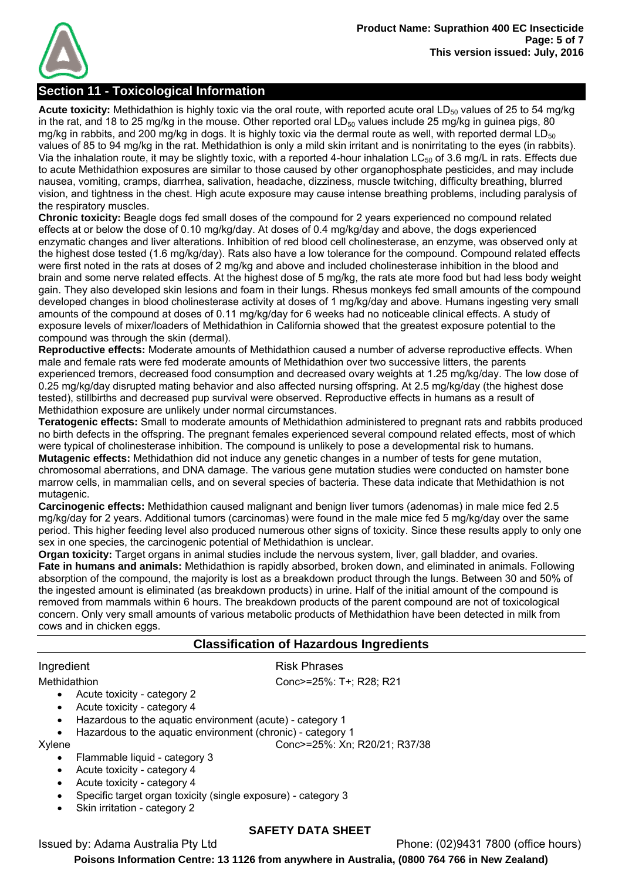

# **Section 11 - Toxicological Information**

Acute toxicity: Methidathion is highly toxic via the oral route, with reported acute oral LD<sub>50</sub> values of 25 to 54 mg/kg in the rat, and 18 to 25 mg/kg in the mouse. Other reported oral  $LD_{50}$  values include 25 mg/kg in guinea pigs, 80 mg/kg in rabbits, and 200 mg/kg in dogs. It is highly toxic via the dermal route as well, with reported dermal LD $_{50}$ values of 85 to 94 mg/kg in the rat. Methidathion is only a mild skin irritant and is nonirritating to the eyes (in rabbits). Via the inhalation route, it may be slightly toxic, with a reported 4-hour inhalation  $LC_{50}$  of 3.6 mg/L in rats. Effects due to acute Methidathion exposures are similar to those caused by other organophosphate pesticides, and may include nausea, vomiting, cramps, diarrhea, salivation, headache, dizziness, muscle twitching, difficulty breathing, blurred vision, and tightness in the chest. High acute exposure may cause intense breathing problems, including paralysis of the respiratory muscles.

**Chronic toxicity:** Beagle dogs fed small doses of the compound for 2 years experienced no compound related effects at or below the dose of 0.10 mg/kg/day. At doses of 0.4 mg/kg/day and above, the dogs experienced enzymatic changes and liver alterations. Inhibition of red blood cell cholinesterase, an enzyme, was observed only at the highest dose tested (1.6 mg/kg/day). Rats also have a low tolerance for the compound. Compound related effects were first noted in the rats at doses of 2 mg/kg and above and included cholinesterase inhibition in the blood and brain and some nerve related effects. At the highest dose of 5 mg/kg, the rats ate more food but had less body weight gain. They also developed skin lesions and foam in their lungs. Rhesus monkeys fed small amounts of the compound developed changes in blood cholinesterase activity at doses of 1 mg/kg/day and above. Humans ingesting very small amounts of the compound at doses of 0.11 mg/kg/day for 6 weeks had no noticeable clinical effects. A study of exposure levels of mixer/loaders of Methidathion in California showed that the greatest exposure potential to the compound was through the skin (dermal).

**Reproductive effects:** Moderate amounts of Methidathion caused a number of adverse reproductive effects. When male and female rats were fed moderate amounts of Methidathion over two successive litters, the parents experienced tremors, decreased food consumption and decreased ovary weights at 1.25 mg/kg/day. The low dose of 0.25 mg/kg/day disrupted mating behavior and also affected nursing offspring. At 2.5 mg/kg/day (the highest dose tested), stillbirths and decreased pup survival were observed. Reproductive effects in humans as a result of Methidathion exposure are unlikely under normal circumstances.

**Teratogenic effects:** Small to moderate amounts of Methidathion administered to pregnant rats and rabbits produced no birth defects in the offspring. The pregnant females experienced several compound related effects, most of which were typical of cholinesterase inhibition. The compound is unlikely to pose a developmental risk to humans. **Mutagenic effects:** Methidathion did not induce any genetic changes in a number of tests for gene mutation, chromosomal aberrations, and DNA damage. The various gene mutation studies were conducted on hamster bone marrow cells, in mammalian cells, and on several species of bacteria. These data indicate that Methidathion is not mutagenic.

**Carcinogenic effects:** Methidathion caused malignant and benign liver tumors (adenomas) in male mice fed 2.5 mg/kg/day for 2 years. Additional tumors (carcinomas) were found in the male mice fed 5 mg/kg/day over the same period. This higher feeding level also produced numerous other signs of toxicity. Since these results apply to only one sex in one species, the carcinogenic potential of Methidathion is unclear.

**Organ toxicity:** Target organs in animal studies include the nervous system, liver, gall bladder, and ovaries. **Fate in humans and animals:** Methidathion is rapidly absorbed, broken down, and eliminated in animals. Following absorption of the compound, the majority is lost as a breakdown product through the lungs. Between 30 and 50% of the ingested amount is eliminated (as breakdown products) in urine. Half of the initial amount of the compound is removed from mammals within 6 hours. The breakdown products of the parent compound are not of toxicological concern. Only very small amounts of various metabolic products of Methidathion have been detected in milk from cows and in chicken eggs.

# **Classification of Hazardous Ingredients**

## Ingredient **Risk Phrases**

Acute toxicity - category 2

- Acute toxicity category 4
- Hazardous to the aquatic environment (acute) category 1
	- Hazardous to the aquatic environment (chronic) category 1

Xylene Conc>=25%: Xn; R20/21; R37/38

- Flammable liquid category 3
- Acute toxicity category 4
- Acute toxicity category 4
- Specific target organ toxicity (single exposure) category 3
- Skin irritation category 2

## **SAFETY DATA SHEET**

Issued by: Adama Australia Pty Ltd Phone: (02)9431 7800 (office hours)

**Poisons Information Centre: 13 1126 from anywhere in Australia, (0800 764 766 in New Zealand)**

Methidathion Conc>=25%: T+; R28; R21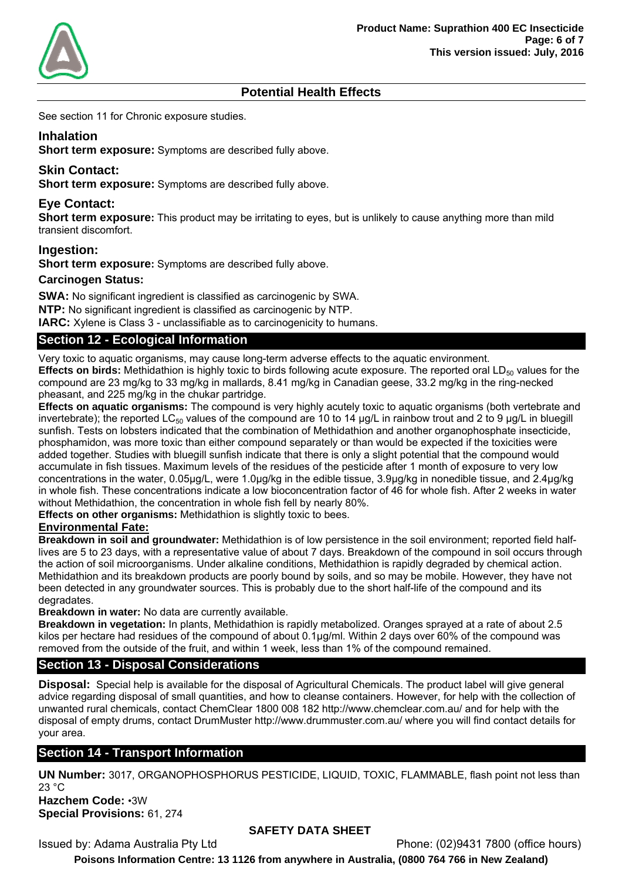

# **Potential Health Effects**

See section 11 for Chronic exposure studies.

# **Inhalation**

**Short term exposure:** Symptoms are described fully above.

# **Skin Contact:**

**Short term exposure:** Symptoms are described fully above.

# **Eye Contact:**

**Short term exposure:** This product may be irritating to eyes, but is unlikely to cause anything more than mild transient discomfort.

## **Ingestion:**

**Short term exposure:** Symptoms are described fully above.

#### **Carcinogen Status:**

**SWA:** No significant ingredient is classified as carcinogenic by SWA. **NTP:** No significant ingredient is classified as carcinogenic by NTP. **IARC:** Xylene is Class 3 - unclassifiable as to carcinogenicity to humans.

# **Section 12 - Ecological Information**

Very toxic to aquatic organisms, may cause long-term adverse effects to the aquatic environment.

**Effects on birds:** Methidathion is highly toxic to birds following acute exposure. The reported oral LD<sub>50</sub> values for the compound are 23 mg/kg to 33 mg/kg in mallards, 8.41 mg/kg in Canadian geese, 33.2 mg/kg in the ring-necked pheasant, and 225 mg/kg in the chukar partridge.

**Effects on aquatic organisms:** The compound is very highly acutely toxic to aquatic organisms (both vertebrate and invertebrate); the reported LC<sub>50</sub> values of the compound are 10 to 14  $\mu q/L$  in rainbow trout and 2 to 9  $\mu q/L$  in bluegill sunfish. Tests on lobsters indicated that the combination of Methidathion and another organophosphate insecticide, phosphamidon, was more toxic than either compound separately or than would be expected if the toxicities were added together. Studies with bluegill sunfish indicate that there is only a slight potential that the compound would accumulate in fish tissues. Maximum levels of the residues of the pesticide after 1 month of exposure to very low concentrations in the water, 0.05μg/L, were 1.0μg/kg in the edible tissue, 3.9μg/kg in nonedible tissue, and 2.4μg/kg in whole fish. These concentrations indicate a low bioconcentration factor of 46 for whole fish. After 2 weeks in water without Methidathion, the concentration in whole fish fell by nearly 80%.

**Effects on other organisms:** Methidathion is slightly toxic to bees.

## **Environmental Fate:**

**Breakdown in soil and groundwater:** Methidathion is of low persistence in the soil environment; reported field halflives are 5 to 23 days, with a representative value of about 7 days. Breakdown of the compound in soil occurs through the action of soil microorganisms. Under alkaline conditions, Methidathion is rapidly degraded by chemical action. Methidathion and its breakdown products are poorly bound by soils, and so may be mobile. However, they have not been detected in any groundwater sources. This is probably due to the short half-life of the compound and its degradates.

**Breakdown in water:** No data are currently available.

**Breakdown in vegetation:** In plants, Methidathion is rapidly metabolized. Oranges sprayed at a rate of about 2.5 kilos per hectare had residues of the compound of about 0.1μg/ml. Within 2 days over 60% of the compound was removed from the outside of the fruit, and within 1 week, less than 1% of the compound remained.

# **Section 13 - Disposal Considerations**

**Disposal:** Special help is available for the disposal of Agricultural Chemicals. The product label will give general advice regarding disposal of small quantities, and how to cleanse containers. However, for help with the collection of unwanted rural chemicals, contact ChemClear 1800 008 182 http://www.chemclear.com.au/ and for help with the disposal of empty drums, contact DrumMuster http://www.drummuster.com.au/ where you will find contact details for your area.

# **Section 14 - Transport Information**

**UN Number:** 3017, ORGANOPHOSPHORUS PESTICIDE, LIQUID, TOXIC, FLAMMABLE, flash point not less than 23 °C

**Hazchem Code:** •3W **Special Provisions:** 61, 274

# **SAFETY DATA SHEET**

Issued by: Adama Australia Pty Ltd Phone: (02)9431 7800 (office hours)

**Poisons Information Centre: 13 1126 from anywhere in Australia, (0800 764 766 in New Zealand)**